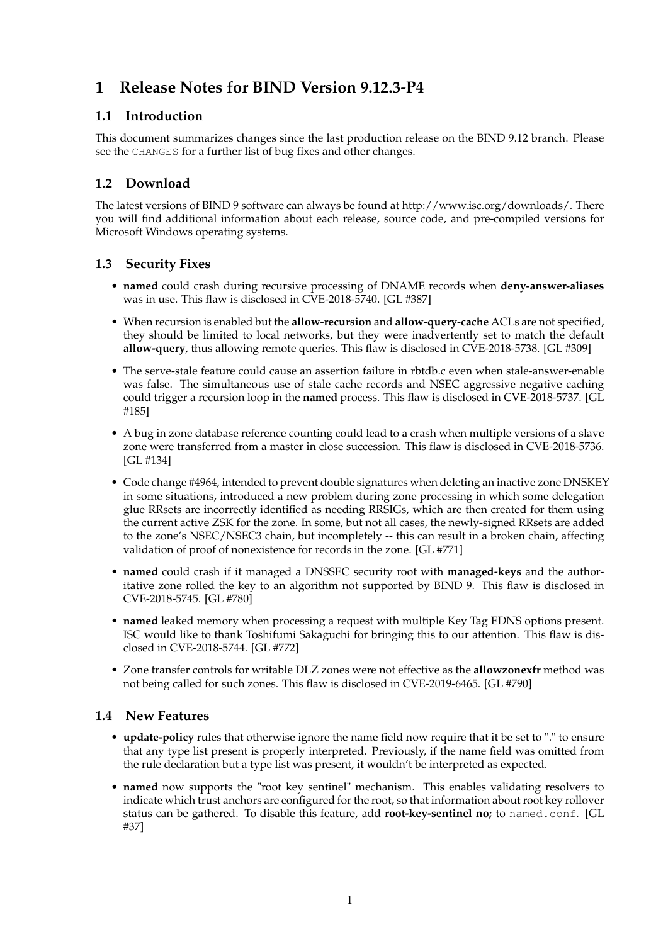# **1 Release Notes for BIND Version 9.12.3-P4**

## **1.1 Introduction**

This document summarizes changes since the last production release on the BIND 9.12 branch. Please see the CHANGES for a further list of bug fixes and other changes.

## **1.2 Download**

The latest versions of BIND 9 software can always be found at http://www.isc.org/downloads/. There you will find additional information about each release, source code, and pre-compiled versions for Microsoft Windows operating systems.

### **1.3 Security Fixes**

- **named** could crash during recursive processing of DNAME records when **deny-answer-aliases** was in use. This flaw is disclosed in CVE-2018-5740. [GL #387]
- When recursion is enabled but the **allow-recursion** and **allow-query-cache** ACLs are not specified, they should be limited to local networks, but they were inadvertently set to match the default **allow-query**, thus allowing remote queries. This flaw is disclosed in CVE-2018-5738. [GL #309]
- The serve-stale feature could cause an assertion failure in rbtdb.c even when stale-answer-enable was false. The simultaneous use of stale cache records and NSEC aggressive negative caching could trigger a recursion loop in the **named** process. This flaw is disclosed in CVE-2018-5737. [GL #185]
- A bug in zone database reference counting could lead to a crash when multiple versions of a slave zone were transferred from a master in close succession. This flaw is disclosed in CVE-2018-5736. [GL #134]
- Code change #4964, intended to prevent double signatures when deleting an inactive zone DNSKEY in some situations, introduced a new problem during zone processing in which some delegation glue RRsets are incorrectly identified as needing RRSIGs, which are then created for them using the current active ZSK for the zone. In some, but not all cases, the newly-signed RRsets are added to the zone's NSEC/NSEC3 chain, but incompletely -- this can result in a broken chain, affecting validation of proof of nonexistence for records in the zone. [GL #771]
- **named** could crash if it managed a DNSSEC security root with **managed-keys** and the authoritative zone rolled the key to an algorithm not supported by BIND 9. This flaw is disclosed in CVE-2018-5745. [GL #780]
- **named** leaked memory when processing a request with multiple Key Tag EDNS options present. ISC would like to thank Toshifumi Sakaguchi for bringing this to our attention. This flaw is disclosed in CVE-2018-5744. [GL #772]
- Zone transfer controls for writable DLZ zones were not effective as the **allowzonexfr** method was not being called for such zones. This flaw is disclosed in CVE-2019-6465. [GL #790]

#### **1.4 New Features**

- **update-policy** rules that otherwise ignore the name field now require that it be set to "." to ensure that any type list present is properly interpreted. Previously, if the name field was omitted from the rule declaration but a type list was present, it wouldn't be interpreted as expected.
- **named** now supports the "root key sentinel" mechanism. This enables validating resolvers to indicate which trust anchors are configured for the root, so that information about root key rollover status can be gathered. To disable this feature, add **root-key-sentinel no;** to named.conf. [GL #37]